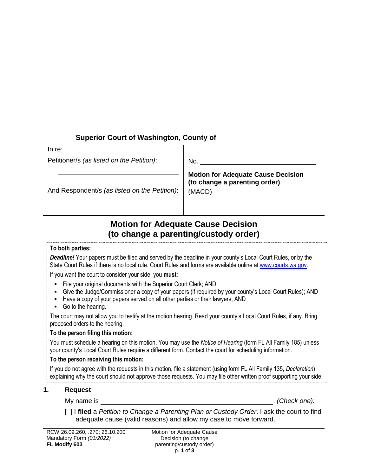## **Superior Court of Washington, County of**

In re:

Petitioner/s *(as listed on the Petition)*:

No.

And Respondent/s *(as listed on the Petition)*:

**Motion for Adequate Cause Decision (to change a parenting order)** (MACD)

# **Motion for Adequate Cause Decision (to change a parenting/custody order)**

#### **To both parties:**

*Deadline!* Your papers must be filed and served by the deadline in your county's Local Court Rules, or by the State Court Rules if there is no local rule. Court Rules and forms are available online a[t www.courts.wa.gov.](http://www.courts.wa.gov/)

If you want the court to consider your side, you **must**:

- File your original documents with the Superior Court Clerk; AND
- Give the Judge/Commissioner a copy of your papers (if required by your county's Local Court Rules); AND
- Have a copy of your papers served on all other parties or their lawyers; AND
- Go to the hearing.

The court may not allow you to testify at the motion hearing. Read your county's Local Court Rules, if any. Bring proposed orders to the hearing.

### **To the person filing this motion:**

You must schedule a hearing on this motion. You may use the *Notice of Hearing* (form FL All Family 185) unless your county's Local Court Rules require a different form. Contact the court for scheduling information.

### **To the person receiving this motion:**

If you do not agree with the requests in this motion, file a statement (using form FL All Family 135, *Declaration*) explaining why the court should not approve those requests. You may file other written proof supporting your side.

## **1. Request**

My name is . *(Check one):*

[ ] I **filed** a *Petition to Change a Parenting Plan or Custody Order*. I ask the court to find adequate cause (valid reasons) and allow my case to move forward.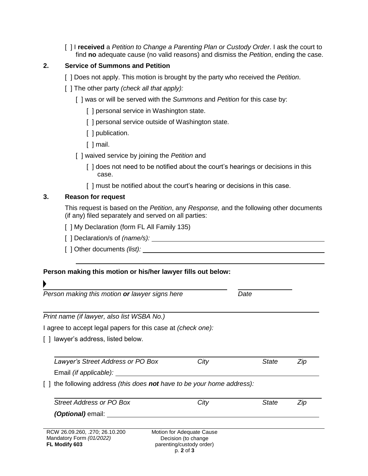[ ] I **received** a *Petition to Change a Parenting Plan or Custody Order*. I ask the court to find **no** adequate cause (no valid reasons) and dismiss the *Petition*, ending the case.

### **2. Service of Summons and Petition**

- [ ] Does not apply. This motion is brought by the party who received the *Petition*.
- [ ] The other party *(check all that apply):*
	- [ ] was or will be served with the *Summons* and *Petition* for this case by:
		- [] personal service in Washington state.
		- [ ] personal service outside of Washington state.
		- [ ] publication.
		- [ ] mail.
	- [ ] waived service by joining the *Petition* and
		- [] does not need to be notified about the court's hearings or decisions in this case.
		- [ ] must be notified about the court's hearing or decisions in this case.

### **3. Reason for request**

K

This request is based on the *Petition*, any *Response,* and the following other documents (if any) filed separately and served on all parties:

- [ ] My Declaration (form FL All Family 135)
- [ ] Declaration/s of *(name/s):*
- [ ] Other documents *(list):*

### **Person making this motion or his/her lawyer fills out below:**

| Person making this motion or lawyer signs here                             |  |                                                  | Date  |     |
|----------------------------------------------------------------------------|--|--------------------------------------------------|-------|-----|
| Print name (if lawyer, also list WSBA No.)                                 |  |                                                  |       |     |
| I agree to accept legal papers for this case at <i>(check one)</i> :       |  |                                                  |       |     |
| lawyer's address, listed below.                                            |  |                                                  |       |     |
|                                                                            |  |                                                  |       |     |
| Lawyer's Street Address or PO Box                                          |  | City                                             | State | Zip |
| Email <i>(if applicable):</i>                                              |  |                                                  |       |     |
| the following address (this does <b>not</b> have to be your home address): |  |                                                  |       |     |
| Street Address or PO Box                                                   |  | City                                             | State | Zip |
| <i>(Optional)</i> email: ____                                              |  |                                                  |       |     |
|                                                                            |  |                                                  |       |     |
| RCW 26.09.260, .270; 26.10.200<br>Mandatory Form (01/2022)                 |  | Motion for Adequate Cause<br>Decision (to change |       |     |
| FL Modify 603                                                              |  | parenting/custody order)                         |       |     |
|                                                                            |  | p. 2 of 3                                        |       |     |